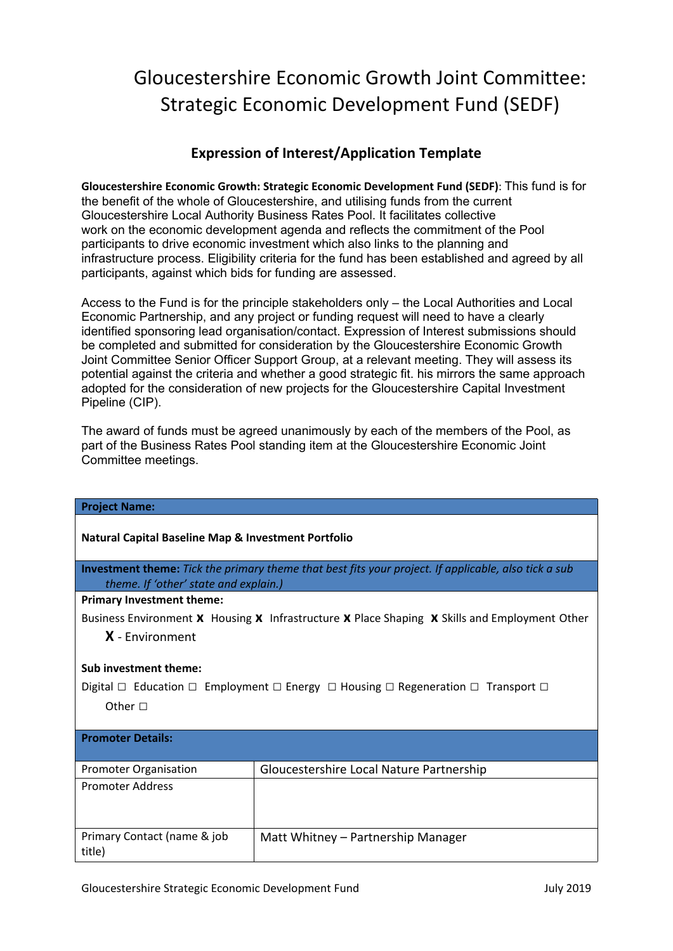### **Expression of Interest/Application Template**

**Gloucestershire Economic Growth: Strategic Economic Development Fund (SEDF)**: This fund is for the benefit of the whole of Gloucestershire, and utilising funds from the current Gloucestershire Local Authority Business Rates Pool. It facilitates collective work on the economic development agenda and reflects the commitment of the Pool participants to drive economic investment which also links to the planning and infrastructure process. Eligibility criteria for the fund has been established and agreed by all participants, against which bids for funding are assessed.

Access to the Fund is for the principle stakeholders only – the Local Authorities and Local Economic Partnership, and any project or funding request will need to have a clearly identified sponsoring lead organisation/contact. Expression of Interest submissions should be completed and submitted for consideration by the Gloucestershire Economic Growth Joint Committee Senior Officer Support Group, at a relevant meeting. They will assess its potential against the criteria and whether a good strategic fit. his mirrors the same approach adopted for the consideration of new projects for the Gloucestershire Capital Investment Pipeline (CIP).

The award of funds must be agreed unanimously by each of the members of the Pool, as part of the Business Rates Pool standing item at the Gloucestershire Economic Joint Committee meetings.

| <b>Project Name:</b>                                                                                                                                 |                                          |  |  |
|------------------------------------------------------------------------------------------------------------------------------------------------------|------------------------------------------|--|--|
| <b>Natural Capital Baseline Map &amp; Investment Portfolio</b>                                                                                       |                                          |  |  |
| <b>Investment theme:</b> Tick the primary theme that best fits your project. If applicable, also tick a sub<br>theme. If 'other' state and explain.) |                                          |  |  |
| <b>Primary Investment theme:</b>                                                                                                                     |                                          |  |  |
| Business Environment X Housing X Infrastructure X Place Shaping X Skills and Employment Other                                                        |                                          |  |  |
| $X$ - Environment                                                                                                                                    |                                          |  |  |
| Sub investment theme:                                                                                                                                |                                          |  |  |
| Digital $\Box$ Education $\Box$ Employment $\Box$ Energy $\Box$ Housing $\Box$ Regeneration $\Box$ Transport $\Box$                                  |                                          |  |  |
| Other $\Box$                                                                                                                                         |                                          |  |  |
| <b>Promoter Details:</b>                                                                                                                             |                                          |  |  |
| <b>Promoter Organisation</b>                                                                                                                         | Gloucestershire Local Nature Partnership |  |  |
| <b>Promoter Address</b>                                                                                                                              |                                          |  |  |
| Primary Contact (name & job<br>title)                                                                                                                | Matt Whitney - Partnership Manager       |  |  |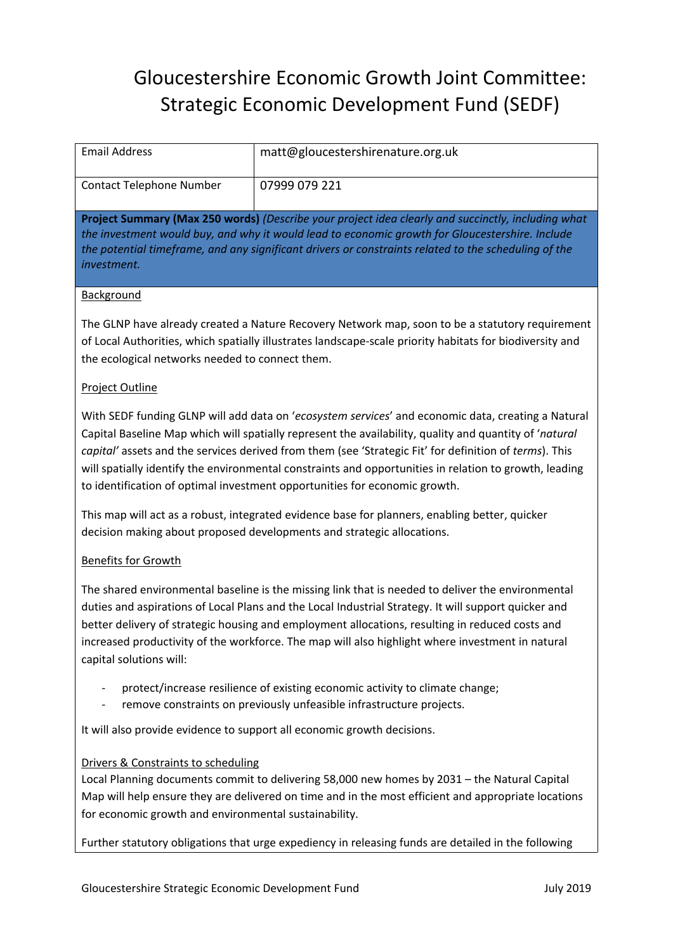| <b>Email Address</b>                                                                                                                                                                                                                                                                                                                                                                                                                                                                                           | matt@gloucestershirenature.org.uk                                                                                                                    |  |
|----------------------------------------------------------------------------------------------------------------------------------------------------------------------------------------------------------------------------------------------------------------------------------------------------------------------------------------------------------------------------------------------------------------------------------------------------------------------------------------------------------------|------------------------------------------------------------------------------------------------------------------------------------------------------|--|
| <b>Contact Telephone Number</b>                                                                                                                                                                                                                                                                                                                                                                                                                                                                                | 07999 079 221                                                                                                                                        |  |
| Project Summary (Max 250 words) (Describe your project idea clearly and succinctly, including what<br>the investment would buy, and why it would lead to economic growth for Gloucestershire. Include<br>the potential timeframe, and any significant drivers or constraints related to the scheduling of the<br>investment.                                                                                                                                                                                   |                                                                                                                                                      |  |
| Background                                                                                                                                                                                                                                                                                                                                                                                                                                                                                                     |                                                                                                                                                      |  |
| The GLNP have already created a Nature Recovery Network map, soon to be a statutory requirement<br>of Local Authorities, which spatially illustrates landscape-scale priority habitats for biodiversity and<br>the ecological networks needed to connect them.                                                                                                                                                                                                                                                 |                                                                                                                                                      |  |
| Project Outline                                                                                                                                                                                                                                                                                                                                                                                                                                                                                                |                                                                                                                                                      |  |
| With SEDF funding GLNP will add data on 'ecosystem services' and economic data, creating a Natural<br>Capital Baseline Map which will spatially represent the availability, quality and quantity of 'natural<br>capital' assets and the services derived from them (see 'Strategic Fit' for definition of terms). This<br>will spatially identify the environmental constraints and opportunities in relation to growth, leading<br>to identification of optimal investment opportunities for economic growth. |                                                                                                                                                      |  |
| This map will act as a robust, integrated evidence base for planners, enabling better, quicker<br>decision making about proposed developments and strategic allocations.                                                                                                                                                                                                                                                                                                                                       |                                                                                                                                                      |  |
| <b>Benefits for Growth</b>                                                                                                                                                                                                                                                                                                                                                                                                                                                                                     |                                                                                                                                                      |  |
| The shared environmental baseline is the missing link that is needed to deliver the environmental<br>duties and aspirations of Local Plans and the Local Industrial Strategy. It will support quicker and<br>better delivery of strategic housing and employment allocations, resulting in reduced costs and<br>increased productivity of the workforce. The map will also highlight where investment in natural<br>capital solutions will:                                                                    |                                                                                                                                                      |  |
| $\overline{\phantom{a}}$                                                                                                                                                                                                                                                                                                                                                                                                                                                                                       | protect/increase resilience of existing economic activity to climate change;<br>remove constraints on previously unfeasible infrastructure projects. |  |
| It will also provide evidence to support all economic growth decisions.                                                                                                                                                                                                                                                                                                                                                                                                                                        |                                                                                                                                                      |  |
| Drivers & Constraints to scheduling<br>Local Planning documents commit to delivering 58,000 new homes by 2031 - the Natural Capital<br>Map will help ensure they are delivered on time and in the most efficient and appropriate locations<br>for economic growth and environmental sustainability.                                                                                                                                                                                                            |                                                                                                                                                      |  |
| Further statutory obligations that urge expediency in releasing funds are detailed in the following                                                                                                                                                                                                                                                                                                                                                                                                            |                                                                                                                                                      |  |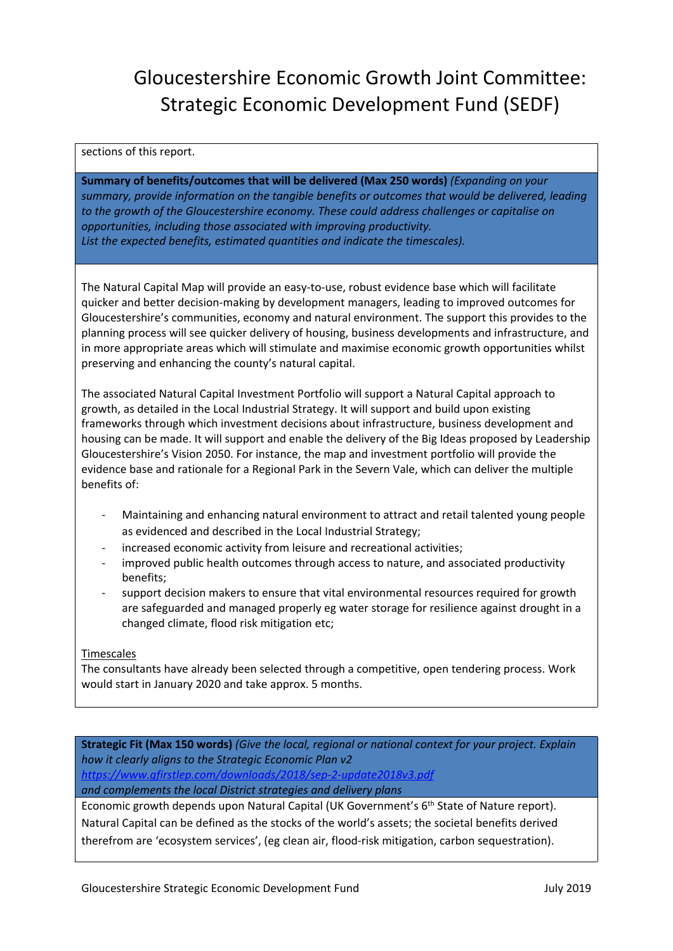#### sections of this report.

**Summary of benefits/outcomes that will be delivered (Max 250 words)** *(Expanding on your summary, provide information on the tangible benefits or outcomes that would be delivered, leading to the growth of the Gloucestershire economy. These could address challenges or capitalise on opportunities, including those associated with improving productivity. List the expected benefits, estimated quantities and indicate the timescales).*

The Natural Capital Map will provide an easy-to-use, robust evidence base which will facilitate quicker and better decision-making by development managers, leading to improved outcomes for Gloucestershire's communities, economy and natural environment. The support this provides to the planning process will see quicker delivery of housing, business developments and infrastructure, and in more appropriate areas which will stimulate and maximise economic growth opportunities whilst preserving and enhancing the county's natural capital.

The associated Natural Capital Investment Portfolio will support a Natural Capital approach to growth, as detailed in the Local Industrial Strategy. It will support and build upon existing frameworks through which investment decisions about infrastructure, business development and housing can be made. It will support and enable the delivery of the Big Ideas proposed by Leadership Gloucestershire's Vision 2050. For instance, the map and investment portfolio will provide the evidence base and rationale for a Regional Park in the Severn Vale, which can deliver the multiple benefits of:

- Maintaining and enhancing natural environment to attract and retail talented young people as evidenced and described in the Local Industrial Strategy;
- increased economic activity from leisure and recreational activities;
- improved public health outcomes through access to nature, and associated productivity benefits;
- support decision makers to ensure that vital environmental resources required for growth are safeguarded and managed properly eg water storage for resilience against drought in a changed climate, flood risk mitigation etc;

#### **Timescales**

The consultants have already been selected through a competitive, open tendering process. Work would start in January 2020 and take approx. 5 months.

**Strategic Fit (Max 150 words)** *(Give the local, regional or national context for your project. Explain how it clearly aligns to the Strategic Economic Plan v2 <https://www.gfirstlep.com/downloads/2018/sep-2-update2018v3.pdf> and complements the local District strategies and delivery plans*

Economic growth depends upon Natural Capital (UK Government's 6<sup>th</sup> State of Nature report). Natural Capital can be defined as the stocks of the world's assets; the societal benefits derived therefrom are 'ecosystem services', (eg clean air, flood-risk mitigation, carbon sequestration).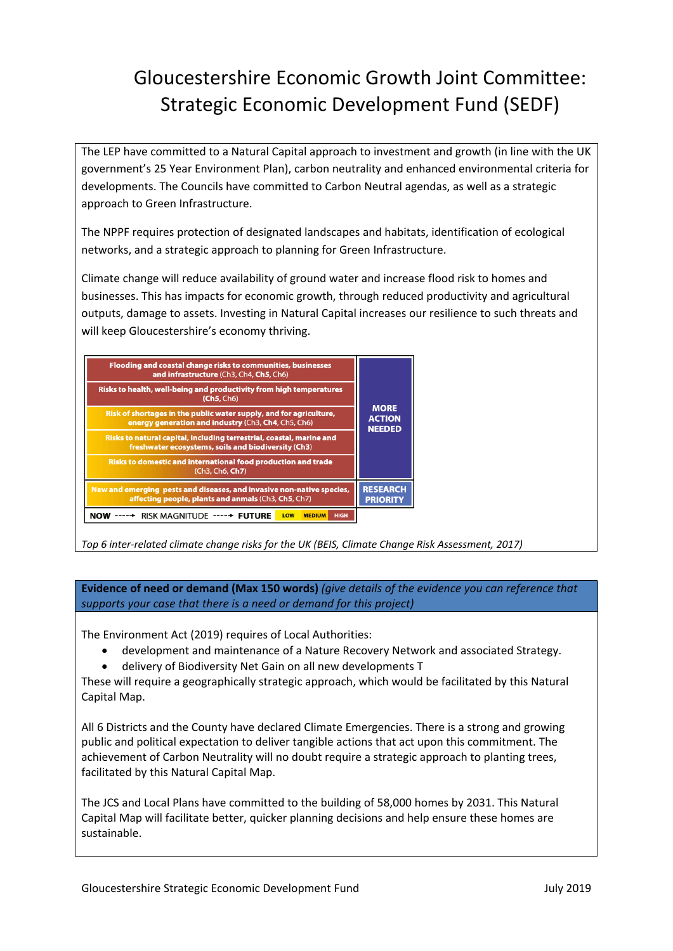The LEP have committed to a Natural Capital approach to investment and growth (in line with the UK government's 25 Year Environment Plan), carbon neutrality and enhanced environmental criteria for developments. The Councils have committed to Carbon Neutral agendas, as well as a strategic approach to Green Infrastructure.

The NPPF requires protection of designated landscapes and habitats, identification of ecological networks, and a strategic approach to planning for Green Infrastructure.

Climate change will reduce availability of ground water and increase flood risk to homes and businesses. This has impacts for economic growth, through reduced productivity and agricultural outputs, damage to assets. Investing in Natural Capital increases our resilience to such threats and will keep Gloucestershire's economy thriving.

| Flooding and coastal change risks to communities, businesses<br>and infrastructure (Ch3, Ch4, Ch5, Ch6)                      |                                               |
|------------------------------------------------------------------------------------------------------------------------------|-----------------------------------------------|
| Risks to health, well-being and productivity from high temperatures<br>(Ch5, Ch6)                                            |                                               |
| Risk of shortages in the public water supply, and for agriculture,<br>energy generation and industry (Ch3, Ch4, Ch5, Ch6)    | <b>MORE</b><br><b>ACTION</b><br><b>NEEDED</b> |
| Risks to natural capital, including terrestrial, coastal, marine and<br>freshwater ecosystems, soils and biodiversity (Ch3)  |                                               |
| Risks to domestic and international food production and trade<br>(Ch3, Ch6, Ch7)                                             |                                               |
| New and emerging pests and diseases, and invasive non-native species,<br>affecting people, plants and anmals (Ch3, Ch5, Ch7) | <b>RESEARCH</b><br><b>PRIORITY</b>            |
| RISK MAGNITUDE ----- FUTURE<br><b>HIGH</b><br>LOW<br><b>MEDIUM</b><br>NOV                                                    |                                               |

*Top 6 inter-related climate change risks for the UK (BEIS, Climate Change Risk Assessment, 2017)*

**Evidence of need or demand (Max 150 words)** *(give details of the evidence you can reference that supports your case that there is a need or demand for this project)*

The Environment Act (2019) requires of Local Authorities:

- development and maintenance of a Nature Recovery Network and associated Strategy.
- delivery of Biodiversity Net Gain on all new developments T

These will require a geographically strategic approach, which would be facilitated by this Natural Capital Map.

All 6 Districts and the County have declared Climate Emergencies. There is a strong and growing public and political expectation to deliver tangible actions that act upon this commitment. The achievement of Carbon Neutrality will no doubt require a strategic approach to planting trees, facilitated by this Natural Capital Map.

The JCS and Local Plans have committed to the building of 58,000 homes by 2031. This Natural Capital Map will facilitate better, quicker planning decisions and help ensure these homes are sustainable.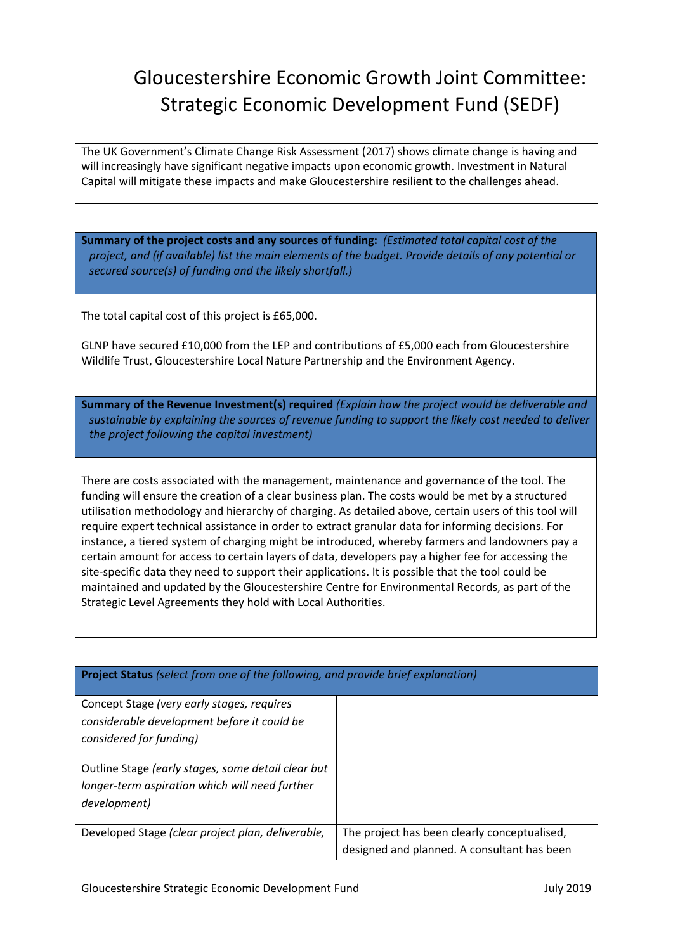The UK Government's Climate Change Risk Assessment (2017) shows climate change is having and will increasingly have significant negative impacts upon economic growth. Investment in Natural Capital will mitigate these impacts and make Gloucestershire resilient to the challenges ahead.

**Summary of the project costs and any sources of funding:** *(Estimated total capital cost of the project, and (if available) list the main elements of the budget. Provide details of any potential or secured source(s) of funding and the likely shortfall.)*

The total capital cost of this project is £65,000.

GLNP have secured £10,000 from the LEP and contributions of £5,000 each from Gloucestershire Wildlife Trust, Gloucestershire Local Nature Partnership and the Environment Agency.

**Summary of the Revenue Investment(s) required** *(Explain how the project would be deliverable and sustainable by explaining the sources of revenue funding to support the likely cost needed to deliver the project following the capital investment)*

There are costs associated with the management, maintenance and governance of the tool. The funding will ensure the creation of a clear business plan. The costs would be met by a structured utilisation methodology and hierarchy of charging. As detailed above, certain users of this tool will require expert technical assistance in order to extract granular data for informing decisions. For instance, a tiered system of charging might be introduced, whereby farmers and landowners pay a certain amount for access to certain layers of data, developers pay a higher fee for accessing the site-specific data they need to support their applications. It is possible that the tool could be maintained and updated by the Gloucestershire Centre for Environmental Records, as part of the Strategic Level Agreements they hold with Local Authorities.

| <b>Project Status</b> (select from one of the following, and provide brief explanation) |                                              |  |
|-----------------------------------------------------------------------------------------|----------------------------------------------|--|
| Concept Stage (very early stages, requires                                              |                                              |  |
| considerable development before it could be                                             |                                              |  |
| considered for funding)                                                                 |                                              |  |
|                                                                                         |                                              |  |
| Outline Stage (early stages, some detail clear but                                      |                                              |  |
| longer-term aspiration which will need further                                          |                                              |  |
| development)                                                                            |                                              |  |
|                                                                                         |                                              |  |
| Developed Stage (clear project plan, deliverable,                                       | The project has been clearly conceptualised, |  |
|                                                                                         | designed and planned. A consultant has been  |  |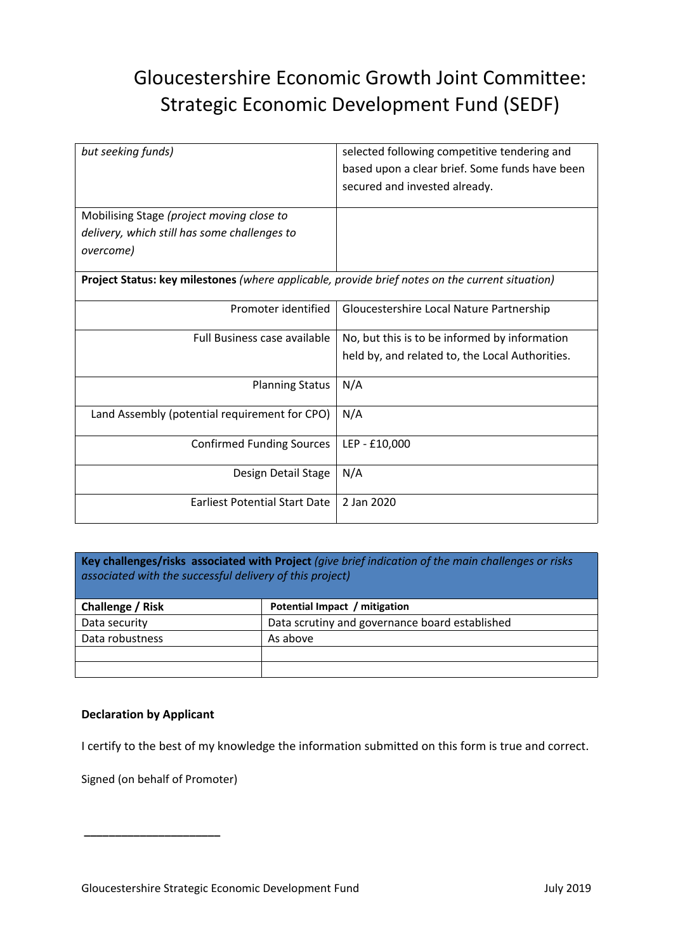| but seeking funds)                                                                                     | selected following competitive tendering and<br>based upon a clear brief. Some funds have been<br>secured and invested already. |  |  |
|--------------------------------------------------------------------------------------------------------|---------------------------------------------------------------------------------------------------------------------------------|--|--|
| Mobilising Stage (project moving close to<br>delivery, which still has some challenges to<br>overcome) |                                                                                                                                 |  |  |
| Project Status: key milestones (where applicable, provide brief notes on the current situation)        |                                                                                                                                 |  |  |
| Promoter identified                                                                                    | Gloucestershire Local Nature Partnership                                                                                        |  |  |
| <b>Full Business case available</b>                                                                    | No, but this is to be informed by information<br>held by, and related to, the Local Authorities.                                |  |  |
| <b>Planning Status</b>                                                                                 | N/A                                                                                                                             |  |  |
| Land Assembly (potential requirement for CPO)                                                          | N/A                                                                                                                             |  |  |
| <b>Confirmed Funding Sources</b>                                                                       | LEP - £10,000                                                                                                                   |  |  |
| Design Detail Stage                                                                                    | N/A                                                                                                                             |  |  |
| <b>Farliest Potential Start Date</b>                                                                   | 2 Jan 2020                                                                                                                      |  |  |

**Key challenges/risks associated with Project** *(give brief indication of the main challenges or risks associated with the successful delivery of this project)*

| Challenge / Risk | Potential Impact / mitigation                  |
|------------------|------------------------------------------------|
| Data security    | Data scrutiny and governance board established |
| Data robustness  | As above                                       |
|                  |                                                |
|                  |                                                |

### **Declaration by Applicant**

I certify to the best of my knowledge the information submitted on this form is true and correct.

Signed (on behalf of Promoter)

**\_\_\_\_\_\_\_\_\_\_\_\_\_\_\_\_\_\_\_\_\_\_**